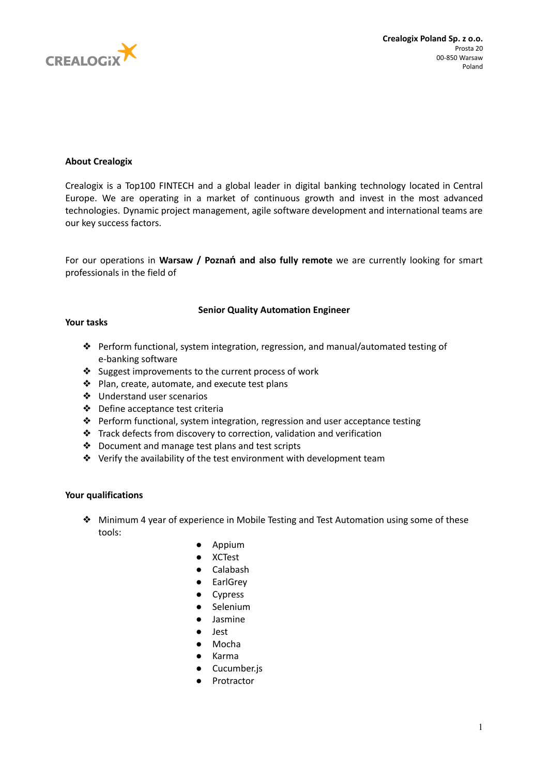

# **About Crealogix**

Crealogix is a Top100 FINTECH and a global leader in digital banking technology located in Central Europe. We are operating in a market of continuous growth and invest in the most advanced technologies. Dynamic project management, agile software development and international teams are our key success factors.

For our operations in **Warsaw / Poznań and also fully remote** we are currently looking for smart professionals in the field of

## **Senior Quality Automation Engineer**

### **Your tasks**

- ❖ Perform functional, system integration, regression, and manual/automated testing of e-banking software
- ❖ Suggest improvements to the current process of work
- ❖ Plan, create, automate, and execute test plans
- ❖ Understand user scenarios
- ❖ Define acceptance test criteria
- ❖ Perform functional, system integration, regression and user acceptance testing
- ❖ Track defects from discovery to correction, validation and verification
- ❖ Document and manage test plans and test scripts
- ❖ Verify the availability of the test environment with development team

## **Your qualifications**

- ❖ Minimum 4 year of experience in Mobile Testing and Test Automation using some of these tools:
	- Appium
	- XCTest
	- Calabash
	- EarlGrey
	- Cypress
	- Selenium
	- Jasmine
	- Jest
	- Mocha
	- Karma
	- Cucumber.js
	- Protractor